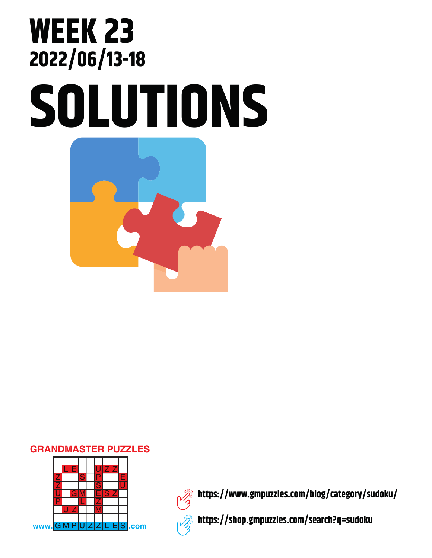## **SOLUTIONS WEEK 23 2022/06/13-18**

## **GRANDMASTER PUZZLES**





**https://www.gmpuzzles.com/blog/category/sudoku/**

**https://shop.gmpuzzles.com/search?q=sudoku**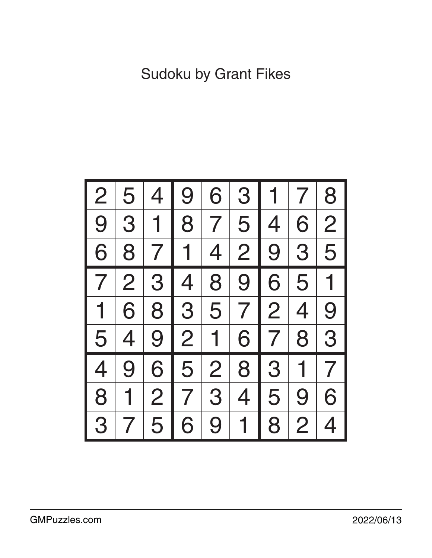| $\overline{2}$ | 5              | 4              | 9              | 6              | 3              |                | $7\phantom{1}$ | 8              |
|----------------|----------------|----------------|----------------|----------------|----------------|----------------|----------------|----------------|
| 9 <sup>1</sup> | 3              | $\mathbf 1$    | 8 <sup>1</sup> | 7 <sup>1</sup> | 5 <sub>1</sub> | $\overline{4}$ | 6              | $\overline{2}$ |
| 6              |                |                | 8 7 1 4        |                |                | 2 9 3 5        |                |                |
| $\mathcal{T}$  | $\overline{2}$ |                | 3 4 8          |                | 9              | 6              | 5 <sup>1</sup> | $\mathbf 1$    |
| $\overline{1}$ | 6              | 8              |                |                | 3 5 7 2        |                | $\overline{4}$ | 9              |
| 5 <sup>1</sup> | $\overline{4}$ |                | 9 2            | $\mathbf 1$    | 6              | 7 <sup>1</sup> | 8              | 3              |
| 4              | 9              |                | 6 5            | 2              |                | 8 3            | 1 <sup>1</sup> | $\overline{7}$ |
| 8              |                | 2 <sup>1</sup> | $\overline{7}$ | 3              | 4 <sup>1</sup> | 5              | 9              | 6              |
| 3              | 7              | 5              | 6              | 9              | 1              | 8              | $\overline{2}$ | 4              |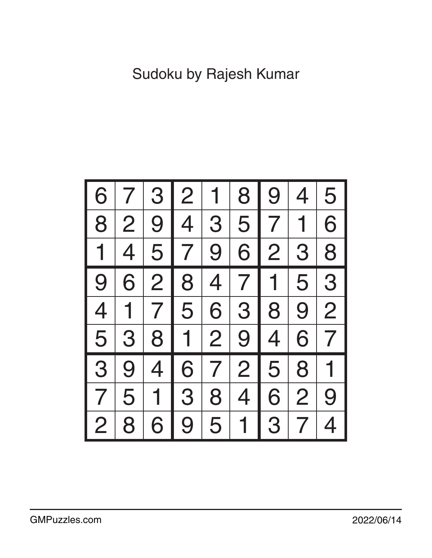| 6              |                | 3              | $\overline{2}$ |                | 8              | 9              | 4              | 5              |
|----------------|----------------|----------------|----------------|----------------|----------------|----------------|----------------|----------------|
| 8              | $\overline{2}$ | 9              | 4              | 3              | 5              | $\overline{7}$ | 1              | 6              |
| 1              | 4              |                | 5 7            | 9 <sup>1</sup> | 6              | $\overline{2}$ | 3 <sup>°</sup> | 8              |
| 9              | 6              | $\overline{2}$ | 8 <sup>1</sup> | 4              | 7 <sup>1</sup> | $\mathbf 1$    | 5              | 3              |
| $\overline{4}$ | $\overline{1}$ |                | 7   5          | 6              | 3 <sup>1</sup> | 8              | 9              | $\overline{2}$ |
| 5              | 3              | 8 <sup>1</sup> |                | 1 2            | 9 <sup>1</sup> | $\overline{4}$ | 6              | $\overline{7}$ |
| 3              | 9              | $\overline{4}$ | 6              | 7 <sup>1</sup> | 2 <sup>1</sup> | 5 <sup>1</sup> | 8              |                |
| 7              | 5              | $\mathbf{1}$   | 3              | 8              | 4              | 6              | $\overline{2}$ | 9              |
| $\overline{2}$ | 8              | 6              | 9              | 5              | 1              | 3              | $\overline{7}$ | 4              |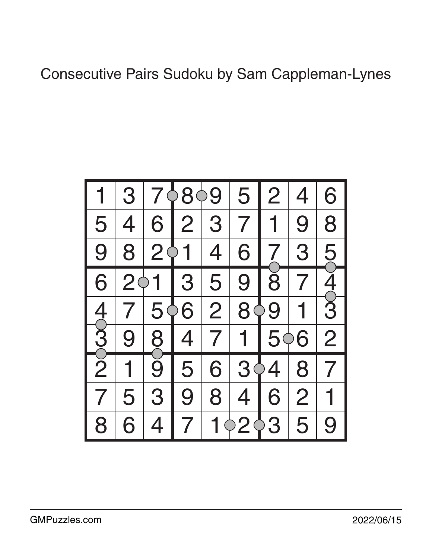## Consecutive Pairs Sudoku by Sam Cappleman-Lynes

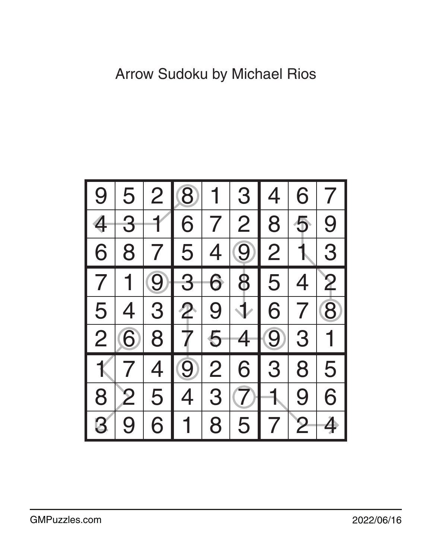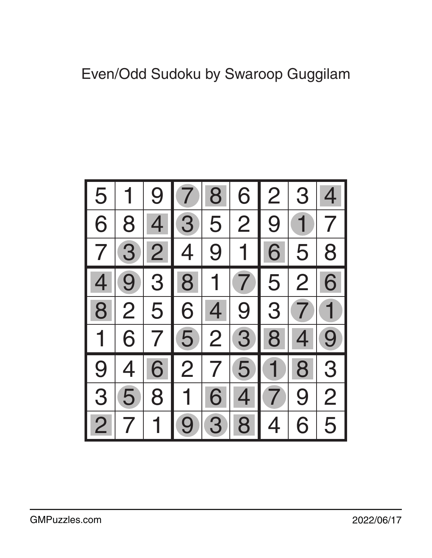## Even/Odd Sudoku by Swaroop Guggilam